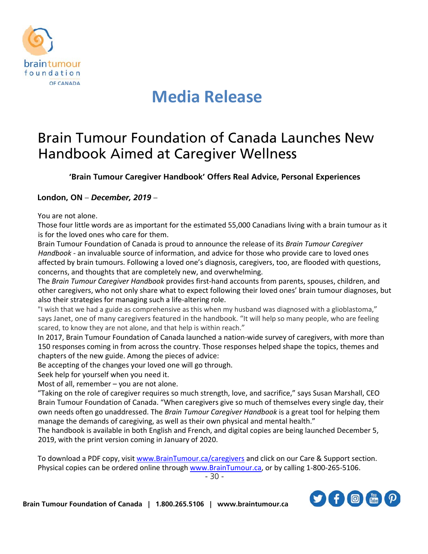

## **Media Release**

## Brain Tumour Foundation of Canada Launches New Handbook Aimed at Caregiver Wellness

**'Brain Tumour Caregiver Handbook' Offers Real Advice, Personal Experiences**

## **London, ON** – *December, 2019* –

You are not alone.

Those four little words are as important for the estimated 55,000 Canadians living with a brain tumour as it is for the loved ones who care for them.

Brain Tumour Foundation of Canada is proud to announce the release of its *Brain Tumour Caregiver Handbook* - an invaluable source of information, and advice for those who provide care to loved ones affected by brain tumours. Following a loved one's diagnosis, caregivers, too, are flooded with questions, concerns, and thoughts that are completely new, and overwhelming.

The *Brain Tumour Caregiver Handbook* provides first-hand accounts from parents, spouses, children, and other caregivers, who not only share what to expect following their loved ones' brain tumour diagnoses, but also their strategies for managing such a life-altering role.

"I wish that we had a guide as comprehensive as this when my husband was diagnosed with a glioblastoma," says Janet, one of many caregivers featured in the handbook. "It will help so many people, who are feeling scared, to know they are not alone, and that help is within reach."

In 2017, Brain Tumour Foundation of Canada launched a nation-wide survey of caregivers, with more than 150 responses coming in from across the country. Those responses helped shape the topics, themes and chapters of the new guide. Among the pieces of advice:

Be accepting of the changes your loved one will go through.

Seek help for yourself when you need it.

Most of all, remember – you are not alone.

"Taking on the role of caregiver requires so much strength, love, and sacrifice," says Susan Marshall, CEO Brain Tumour Foundation of Canada. "When caregivers give so much of themselves every single day, their own needs often go unaddressed. The *Brain Tumour Caregiver Handbook* is a great tool for helping them manage the demands of caregiving, as well as their own physical and mental health."

The handbook is available in both English and French, and digital copies are being launched December 5, 2019, with the print version coming in January of 2020.

To download a PDF copy, visit [www.BrainTumour.ca/](http://www.braintumour.ca/)caregivers and click on our Care & Support section. Physical copies can be ordered online through [www.BrainTumour.ca,](http://www.braintumour.ca/) or by calling 1-800-265-5106.

- 30 -